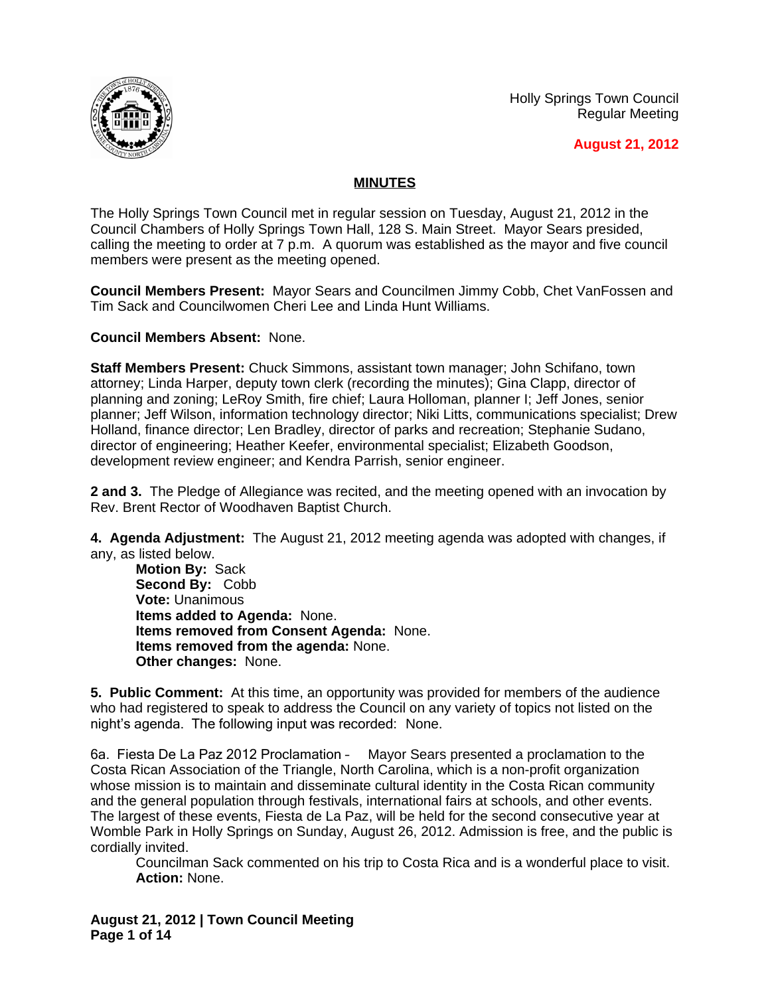



**August 21, 2012**

## **MINUTES**

The Holly Springs Town Council met in regular session on Tuesday, August 21, 2012 in the Council Chambers of Holly Springs Town Hall, 128 S. Main Street. Mayor Sears presided, calling the meeting to order at 7 p.m. A quorum was established as the mayor and five council members were present as the meeting opened.

**Council Members Present:** Mayor Sears and Councilmen Jimmy Cobb, Chet VanFossen and Tim Sack and Councilwomen Cheri Lee and Linda Hunt Williams.

## **Council Members Absent:** None.

**Staff Members Present:** Chuck Simmons, assistant town manager; John Schifano, town attorney; Linda Harper, deputy town clerk (recording the minutes); Gina Clapp, director of planning and zoning; LeRoy Smith, fire chief; Laura Holloman, planner I; Jeff Jones, senior planner; Jeff Wilson, information technology director; Niki Litts, communications specialist; Drew Holland, finance director; Len Bradley, director of parks and recreation; Stephanie Sudano, director of engineering; Heather Keefer, environmental specialist; Elizabeth Goodson, development review engineer; and Kendra Parrish, senior engineer.

**2 and 3.** The Pledge of Allegiance was recited, and the meeting opened with an invocation by Rev. Brent Rector of Woodhaven Baptist Church.

**4. Agenda Adjustment:** The August 21, 2012 meeting agenda was adopted with changes, if any, as listed below.

**Motion By:** Sack **Second By:** Cobb **Vote:** Unanimous **Items added to Agenda:** None. **Items removed from Consent Agenda:** None. **Items removed from the agenda:** None. **Other changes:** None.

**5. Public Comment:** At this time, an opportunity was provided for members of the audience who had registered to speak to address the Council on any variety of topics not listed on the night's agenda. The following input was recorded: None.

6a. Fiesta De La Paz 2012 Proclamation – Mayor Sears presented a proclamation to the Costa Rican Association of the Triangle, North Carolina, which is a non-profit organization whose mission is to maintain and disseminate cultural identity in the Costa Rican community and the general population through festivals, international fairs at schools, and other events. The largest of these events, Fiesta de La Paz, will be held for the second consecutive year at Womble Park in Holly Springs on Sunday, August 26, 2012. Admission is free, and the public is cordially invited.

Councilman Sack commented on his trip to Costa Rica and is a wonderful place to visit. **Action:** None.

**August 21, 2012 | Town Council Meeting Page 1 of 14**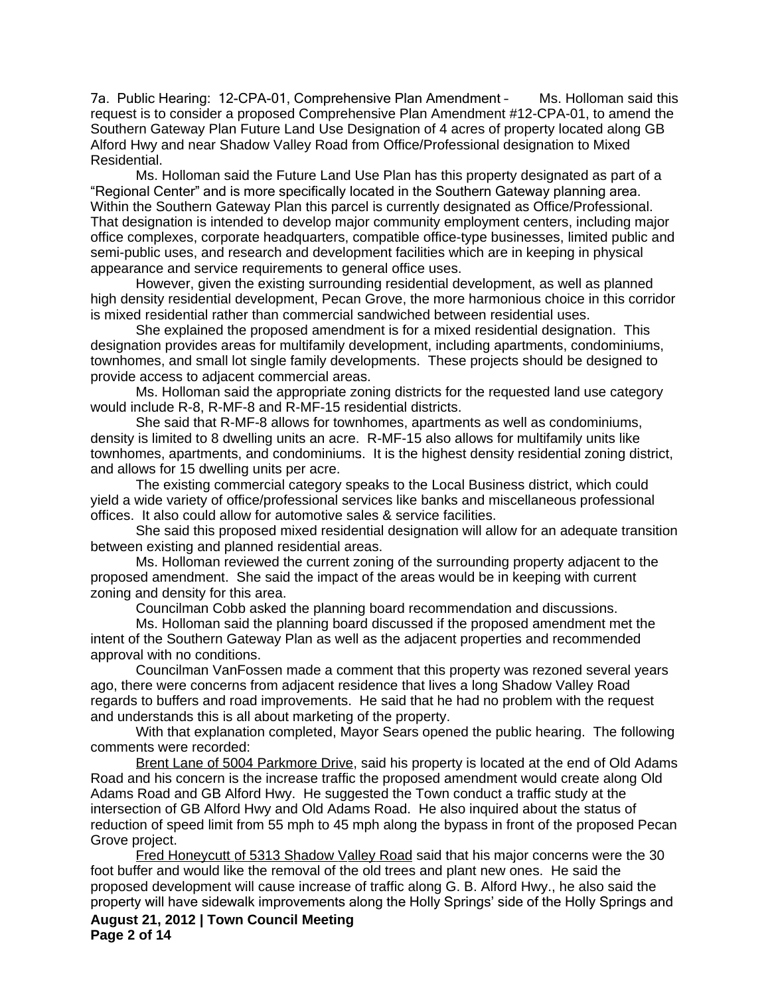7a. Public Hearing: 12-CPA-01, Comprehensive Plan Amendment – Ms. Holloman said this request is to consider a proposed Comprehensive Plan Amendment #12-CPA-01, to amend the Southern Gateway Plan Future Land Use Designation of 4 acres of property located along GB Alford Hwy and near Shadow Valley Road from Office/Professional designation to Mixed Residential.

Ms. Holloman said the Future Land Use Plan has this property designated as part of a "Regional Center" and is more specifically located in the Southern Gateway planning area. Within the Southern Gateway Plan this parcel is currently designated as Office/Professional. That designation is intended to develop major community employment centers, including major office complexes, corporate headquarters, compatible office-type businesses, limited public and semi-public uses, and research and development facilities which are in keeping in physical appearance and service requirements to general office uses.

However, given the existing surrounding residential development, as well as planned high density residential development, Pecan Grove, the more harmonious choice in this corridor is mixed residential rather than commercial sandwiched between residential uses.

She explained the proposed amendment is for a mixed residential designation. This designation provides areas for multifamily development, including apartments, condominiums, townhomes, and small lot single family developments. These projects should be designed to provide access to adjacent commercial areas.

Ms. Holloman said the appropriate zoning districts for the requested land use category would include R-8, R-MF-8 and R-MF-15 residential districts.

She said that R-MF-8 allows for townhomes, apartments as well as condominiums, density is limited to 8 dwelling units an acre. R-MF-15 also allows for multifamily units like townhomes, apartments, and condominiums. It is the highest density residential zoning district, and allows for 15 dwelling units per acre.

The existing commercial category speaks to the Local Business district, which could yield a wide variety of office/professional services like banks and miscellaneous professional offices. It also could allow for automotive sales & service facilities.

She said this proposed mixed residential designation will allow for an adequate transition between existing and planned residential areas.

Ms. Holloman reviewed the current zoning of the surrounding property adjacent to the proposed amendment. She said the impact of the areas would be in keeping with current zoning and density for this area.

Councilman Cobb asked the planning board recommendation and discussions.

Ms. Holloman said the planning board discussed if the proposed amendment met the intent of the Southern Gateway Plan as well as the adjacent properties and recommended approval with no conditions.

Councilman VanFossen made a comment that this property was rezoned several years ago, there were concerns from adjacent residence that lives a long Shadow Valley Road regards to buffers and road improvements. He said that he had no problem with the request and understands this is all about marketing of the property.

With that explanation completed, Mayor Sears opened the public hearing. The following comments were recorded:

Brent Lane of 5004 Parkmore Drive, said his property is located at the end of Old Adams Road and his concern is the increase traffic the proposed amendment would create along Old Adams Road and GB Alford Hwy. He suggested the Town conduct a traffic study at the intersection of GB Alford Hwy and Old Adams Road. He also inquired about the status of reduction of speed limit from 55 mph to 45 mph along the bypass in front of the proposed Pecan Grove project.

**August 21, 2012 | Town Council Meeting Page 2 of 14** Fred Honeycutt of 5313 Shadow Valley Road said that his major concerns were the 30 foot buffer and would like the removal of the old trees and plant new ones. He said the proposed development will cause increase of traffic along G. B. Alford Hwy., he also said the property will have sidewalk improvements along the Holly Springs' side of the Holly Springs and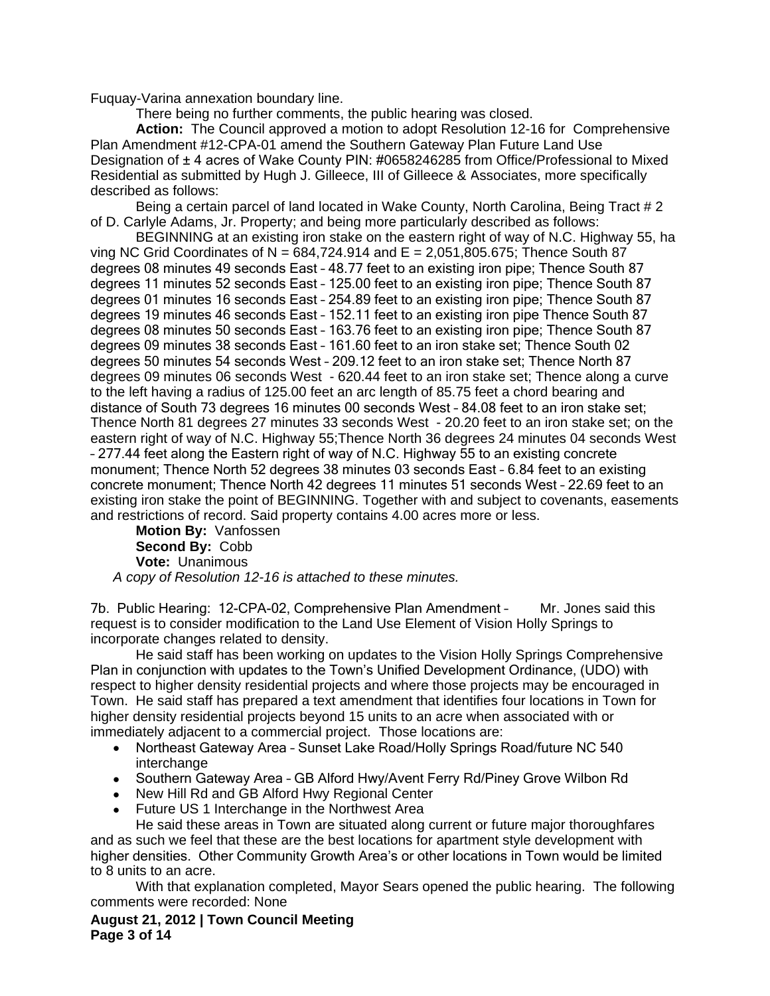Fuquay-Varina annexation boundary line.

There being no further comments, the public hearing was closed.

**Action:** The Council approved a motion to adopt Resolution 12-16 for Comprehensive Plan Amendment #12-CPA-01 amend the Southern Gateway Plan Future Land Use Designation of  $\pm$  4 acres of Wake County PIN: #0658246285 from Office/Professional to Mixed Residential as submitted by Hugh J. Gilleece, III of Gilleece & Associates, more specifically described as follows:

Being a certain parcel of land located in Wake County, North Carolina, Being Tract # 2 of D. Carlyle Adams, Jr. Property; and being more particularly described as follows:

BEGINNING at an existing iron stake on the eastern right of way of N.C. Highway 55, ha ving NC Grid Coordinates of N =  $684,724.914$  and E = 2,051,805.675; Thence South 87 degrees 08 minutes 49 seconds East – 48.77 feet to an existing iron pipe; Thence South 87 degrees 11 minutes 52 seconds East – 125.00 feet to an existing iron pipe; Thence South 87 degrees 01 minutes 16 seconds East – 254.89 feet to an existing iron pipe; Thence South 87 degrees 19 minutes 46 seconds East – 152.11 feet to an existing iron pipe Thence South 87 degrees 08 minutes 50 seconds East – 163.76 feet to an existing iron pipe; Thence South 87 degrees 09 minutes 38 seconds East – 161.60 feet to an iron stake set; Thence South 02 degrees 50 minutes 54 seconds West – 209.12 feet to an iron stake set; Thence North 87 degrees 09 minutes 06 seconds West - 620.44 feet to an iron stake set; Thence along a curve to the left having a radius of 125.00 feet an arc length of 85.75 feet a chord bearing and distance of South 73 degrees 16 minutes 00 seconds West – 84.08 feet to an iron stake set; Thence North 81 degrees 27 minutes 33 seconds West - 20.20 feet to an iron stake set; on the eastern right of way of N.C. Highway 55;Thence North 36 degrees 24 minutes 04 seconds West – 277.44 feet along the Eastern right of way of N.C. Highway 55 to an existing concrete monument; Thence North 52 degrees 38 minutes 03 seconds East – 6.84 feet to an existing concrete monument; Thence North 42 degrees 11 minutes 51 seconds West – 22.69 feet to an existing iron stake the point of BEGINNING. Together with and subject to covenants, easements and restrictions of record. Said property contains 4.00 acres more or less.

**Motion By:** Vanfossen **Second By:** Cobb **Vote:** Unanimous *A copy of Resolution 12-16 is attached to these minutes.*

7b. Public Hearing: 12-CPA-02, Comprehensive Plan Amendment – Mr. Jones said this request is to consider modification to the Land Use Element of Vision Holly Springs to incorporate changes related to density.

He said staff has been working on updates to the Vision Holly Springs Comprehensive Plan in conjunction with updates to the Town's Unified Development Ordinance, (UDO) with respect to higher density residential projects and where those projects may be encouraged in Town. He said staff has prepared a text amendment that identifies four locations in Town for higher density residential projects beyond 15 units to an acre when associated with or immediately adjacent to a commercial project. Those locations are:

- Northeast Gateway Area Sunset Lake Road/Holly Springs Road/future NC 540 interchange
- Southern Gateway Area GB Alford Hwy/Avent Ferry Rd/Piney Grove Wilbon Rd
- New Hill Rd and GB Alford Hwy Regional Center
- Future US 1 Interchange in the Northwest Area

He said these areas in Town are situated along current or future major thoroughfares and as such we feel that these are the best locations for apartment style development with higher densities. Other Community Growth Area's or other locations in Town would be limited to 8 units to an acre.

With that explanation completed, Mayor Sears opened the public hearing. The following comments were recorded: None

**August 21, 2012 | Town Council Meeting Page 3 of 14**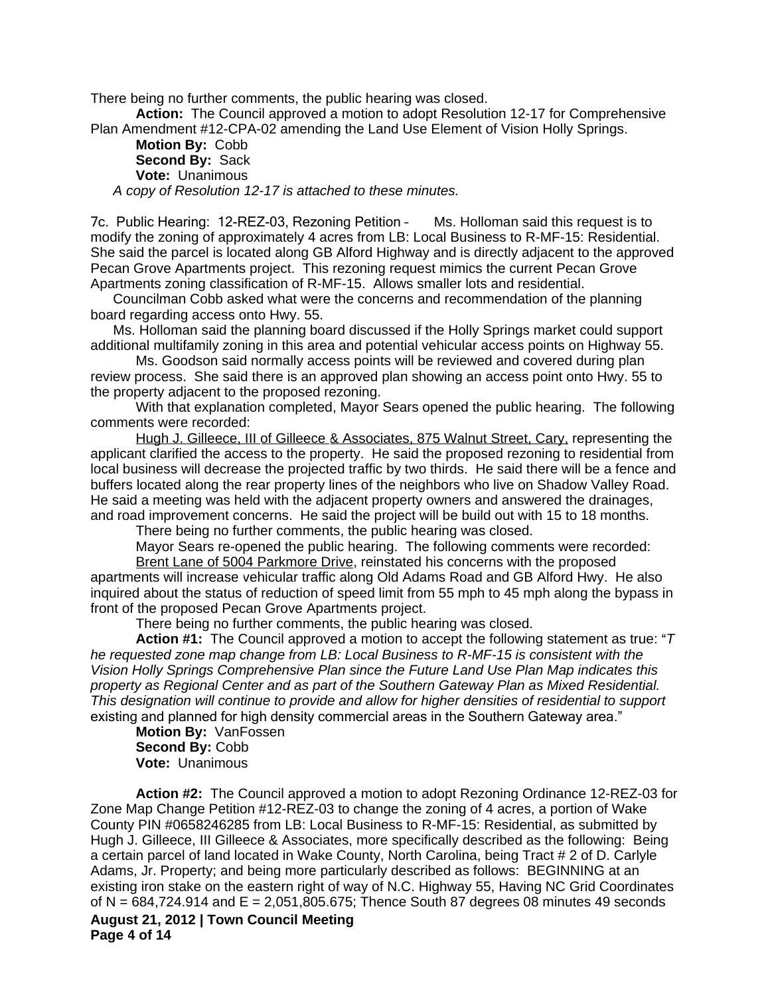There being no further comments, the public hearing was closed.

**Action:** The Council approved a motion to adopt Resolution 12-17 for Comprehensive Plan Amendment #12-CPA-02 amending the Land Use Element of Vision Holly Springs.

**Motion By:** Cobb **Second By:** Sack **Vote:** Unanimous *A copy of Resolution 12-17 is attached to these minutes.*

7c. Public Hearing: 12-REZ-03, Rezoning Petition – Ms. Holloman said this request is to modify the zoning of approximately 4 acres from LB: Local Business to R-MF-15: Residential. She said the parcel is located along GB Alford Highway and is directly adjacent to the approved Pecan Grove Apartments project. This rezoning request mimics the current Pecan Grove Apartments zoning classification of R-MF-15. Allows smaller lots and residential.

Councilman Cobb asked what were the concerns and recommendation of the planning board regarding access onto Hwy. 55.

Ms. Holloman said the planning board discussed if the Holly Springs market could support additional multifamily zoning in this area and potential vehicular access points on Highway 55.

Ms. Goodson said normally access points will be reviewed and covered during plan review process. She said there is an approved plan showing an access point onto Hwy. 55 to the property adjacent to the proposed rezoning.

With that explanation completed, Mayor Sears opened the public hearing. The following comments were recorded:

Hugh J. Gilleece, III of Gilleece & Associates, 875 Walnut Street, Cary, representing the applicant clarified the access to the property. He said the proposed rezoning to residential from local business will decrease the projected traffic by two thirds. He said there will be a fence and buffers located along the rear property lines of the neighbors who live on Shadow Valley Road. He said a meeting was held with the adjacent property owners and answered the drainages, and road improvement concerns. He said the project will be build out with 15 to 18 months.

There being no further comments, the public hearing was closed.

Mayor Sears re-opened the public hearing. The following comments were recorded:

Brent Lane of 5004 Parkmore Drive, reinstated his concerns with the proposed apartments will increase vehicular traffic along Old Adams Road and GB Alford Hwy. He also inquired about the status of reduction of speed limit from 55 mph to 45 mph along the bypass in front of the proposed Pecan Grove Apartments project.

There being no further comments, the public hearing was closed.

**Action #1:** The Council approved a motion to accept the following statement as true: "*T he requested zone map change from LB: Local Business to R-MF-15 is consistent with the Vision Holly Springs Comprehensive Plan since the Future Land Use Plan Map indicates this property as Regional Center and as part of the Southern Gateway Plan as Mixed Residential. This designation will continue to provide and allow for higher densities of residential to support*  existing and planned for high density commercial areas in the Southern Gateway area."

**Motion By:** VanFossen **Second By:** Cobb **Vote:** Unanimous

**August 21, 2012 | Town Council Meeting Page 4 of 14 Action #2:** The Council approved a motion to adopt Rezoning Ordinance 12-REZ-03 for Zone Map Change Petition #12-REZ-03 to change the zoning of 4 acres, a portion of Wake County PIN #0658246285 from LB: Local Business to R-MF-15: Residential, as submitted by Hugh J. Gilleece, III Gilleece & Associates, more specifically described as the following: Being a certain parcel of land located in Wake County, North Carolina, being Tract # 2 of D. Carlyle Adams, Jr. Property; and being more particularly described as follows: BEGINNING at an existing iron stake on the eastern right of way of N.C. Highway 55, Having NC Grid Coordinates of N =  $684,724.914$  and E = 2,051,805.675; Thence South 87 degrees 08 minutes 49 seconds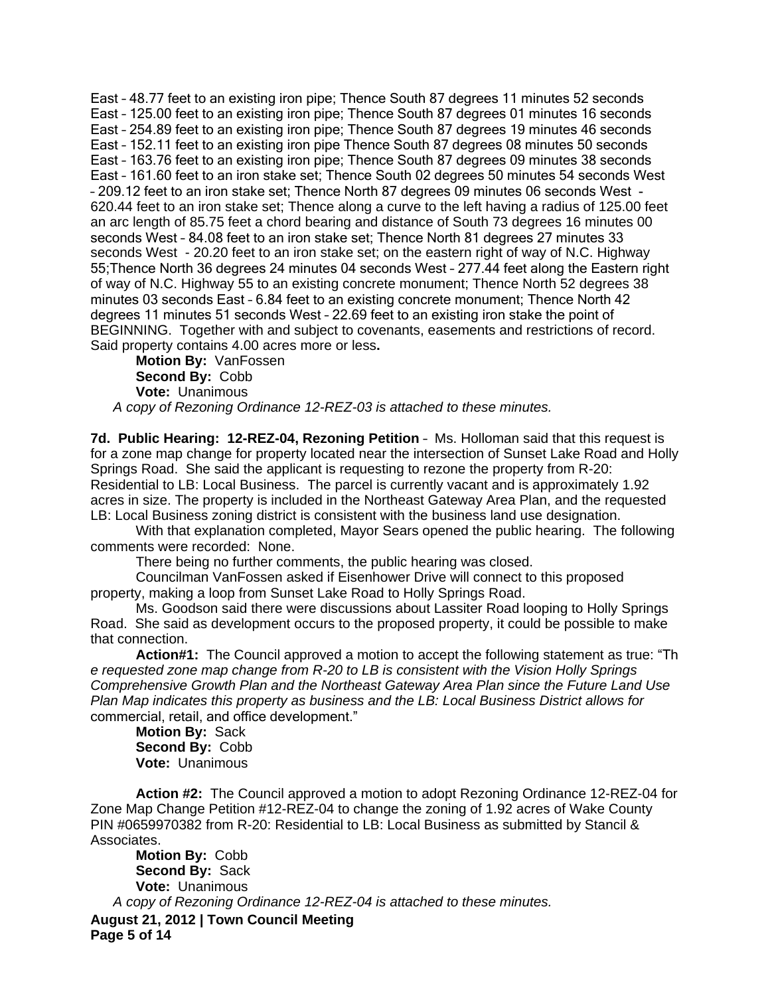East – 48.77 feet to an existing iron pipe; Thence South 87 degrees 11 minutes 52 seconds East – 125.00 feet to an existing iron pipe; Thence South 87 degrees 01 minutes 16 seconds East – 254.89 feet to an existing iron pipe; Thence South 87 degrees 19 minutes 46 seconds East – 152.11 feet to an existing iron pipe Thence South 87 degrees 08 minutes 50 seconds East – 163.76 feet to an existing iron pipe; Thence South 87 degrees 09 minutes 38 seconds East – 161.60 feet to an iron stake set; Thence South 02 degrees 50 minutes 54 seconds West – 209.12 feet to an iron stake set; Thence North 87 degrees 09 minutes 06 seconds West - 620.44 feet to an iron stake set; Thence along a curve to the left having a radius of 125.00 feet an arc length of 85.75 feet a chord bearing and distance of South 73 degrees 16 minutes 00 seconds West – 84.08 feet to an iron stake set; Thence North 81 degrees 27 minutes 33 seconds West - 20.20 feet to an iron stake set; on the eastern right of way of N.C. Highway 55;Thence North 36 degrees 24 minutes 04 seconds West – 277.44 feet along the Eastern right of way of N.C. Highway 55 to an existing concrete monument; Thence North 52 degrees 38 minutes 03 seconds East – 6.84 feet to an existing concrete monument; Thence North 42 degrees 11 minutes 51 seconds West – 22.69 feet to an existing iron stake the point of BEGINNING. Together with and subject to covenants, easements and restrictions of record. Said property contains 4.00 acres more or less**.**

**Motion By:** VanFossen **Second By:** Cobb **Vote:** Unanimous *A copy of Rezoning Ordinance 12-REZ-03 is attached to these minutes.*

7d. Public Hearing: 12-REZ-04, Rezoning Petition - Ms. Holloman said that this request is for a zone map change for property located near the intersection of Sunset Lake Road and Holly Springs Road. She said the applicant is requesting to rezone the property from R-20: Residential to LB: Local Business. The parcel is currently vacant and is approximately 1.92 acres in size. The property is included in the Northeast Gateway Area Plan, and the requested LB: Local Business zoning district is consistent with the business land use designation.

With that explanation completed, Mayor Sears opened the public hearing. The following comments were recorded: None.

There being no further comments, the public hearing was closed.

Councilman VanFossen asked if Eisenhower Drive will connect to this proposed property, making a loop from Sunset Lake Road to Holly Springs Road.

Ms. Goodson said there were discussions about Lassiter Road looping to Holly Springs Road. She said as development occurs to the proposed property, it could be possible to make that connection.

**Action#1:** The Council approved a motion to accept the following statement as true: "Th *e requested zone map change from R-20 to LB is consistent with the Vision Holly Springs Comprehensive Growth Plan and the Northeast Gateway Area Plan since the Future Land Use Plan Map indicates this property as business and the LB: Local Business District allows for*  commercial, retail, and office development."

**Motion By:** Sack **Second By:** Cobb **Vote:** Unanimous

**Action #2:** The Council approved a motion to adopt Rezoning Ordinance 12-REZ-04 for Zone Map Change Petition #12-REZ-04 to change the zoning of 1.92 acres of Wake County PIN #0659970382 from R-20: Residential to LB: Local Business as submitted by Stancil & Associates.

**August 21, 2012 | Town Council Meeting Page 5 of 14 Motion By:** Cobb **Second By:** Sack **Vote:** Unanimous *A copy of Rezoning Ordinance 12-REZ-04 is attached to these minutes.*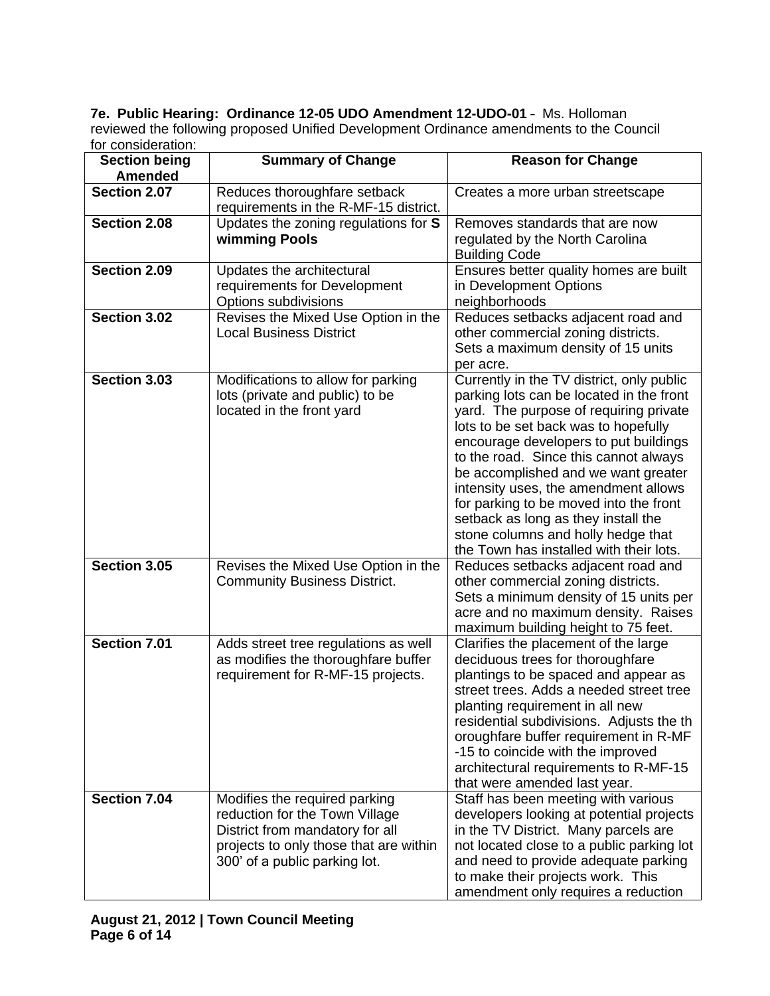**7e. Public Hearing: Ordinance 12-05 UDO Amendment 12-UDO-01** – Ms. Holloman reviewed the following proposed Unified Development Ordinance amendments to the Council for consideration:

| <b>Section being</b><br><b>Amended</b> | <b>Summary of Change</b>                                                                                                                                                      | <b>Reason for Change</b>                                                                                                                                                                                                                                                                                                                                                                                                                                                                                   |
|----------------------------------------|-------------------------------------------------------------------------------------------------------------------------------------------------------------------------------|------------------------------------------------------------------------------------------------------------------------------------------------------------------------------------------------------------------------------------------------------------------------------------------------------------------------------------------------------------------------------------------------------------------------------------------------------------------------------------------------------------|
| Section 2.07                           | Reduces thoroughfare setback<br>requirements in the R-MF-15 district.                                                                                                         | Creates a more urban streetscape                                                                                                                                                                                                                                                                                                                                                                                                                                                                           |
| Section 2.08                           | Updates the zoning regulations for S<br>wimming Pools                                                                                                                         | Removes standards that are now<br>regulated by the North Carolina<br><b>Building Code</b>                                                                                                                                                                                                                                                                                                                                                                                                                  |
| Section 2.09                           | Updates the architectural<br>requirements for Development<br>Options subdivisions                                                                                             | Ensures better quality homes are built<br>in Development Options<br>neighborhoods                                                                                                                                                                                                                                                                                                                                                                                                                          |
| Section 3.02                           | Revises the Mixed Use Option in the<br><b>Local Business District</b>                                                                                                         | Reduces setbacks adjacent road and<br>other commercial zoning districts.<br>Sets a maximum density of 15 units<br>per acre.                                                                                                                                                                                                                                                                                                                                                                                |
| Section 3.03                           | Modifications to allow for parking<br>lots (private and public) to be<br>located in the front yard                                                                            | Currently in the TV district, only public<br>parking lots can be located in the front<br>yard. The purpose of requiring private<br>lots to be set back was to hopefully<br>encourage developers to put buildings<br>to the road. Since this cannot always<br>be accomplished and we want greater<br>intensity uses, the amendment allows<br>for parking to be moved into the front<br>setback as long as they install the<br>stone columns and holly hedge that<br>the Town has installed with their lots. |
| Section 3.05                           | Revises the Mixed Use Option in the<br><b>Community Business District.</b>                                                                                                    | Reduces setbacks adjacent road and<br>other commercial zoning districts.<br>Sets a minimum density of 15 units per<br>acre and no maximum density. Raises<br>maximum building height to 75 feet.                                                                                                                                                                                                                                                                                                           |
| Section 7.01                           | Adds street tree regulations as well<br>as modifies the thoroughfare buffer<br>requirement for R-MF-15 projects.                                                              | Clarifies the placement of the large<br>deciduous trees for thoroughfare<br>plantings to be spaced and appear as<br>street trees. Adds a needed street tree<br>planting requirement in all new<br>residential subdivisions. Adjusts the th<br>oroughfare buffer requirement in R-MF<br>-15 to coincide with the improved<br>architectural requirements to R-MF-15<br>that were amended last year.                                                                                                          |
| Section 7.04                           | Modifies the required parking<br>reduction for the Town Village<br>District from mandatory for all<br>projects to only those that are within<br>300' of a public parking lot. | Staff has been meeting with various<br>developers looking at potential projects<br>in the TV District. Many parcels are<br>not located close to a public parking lot<br>and need to provide adequate parking<br>to make their projects work. This<br>amendment only requires a reduction                                                                                                                                                                                                                   |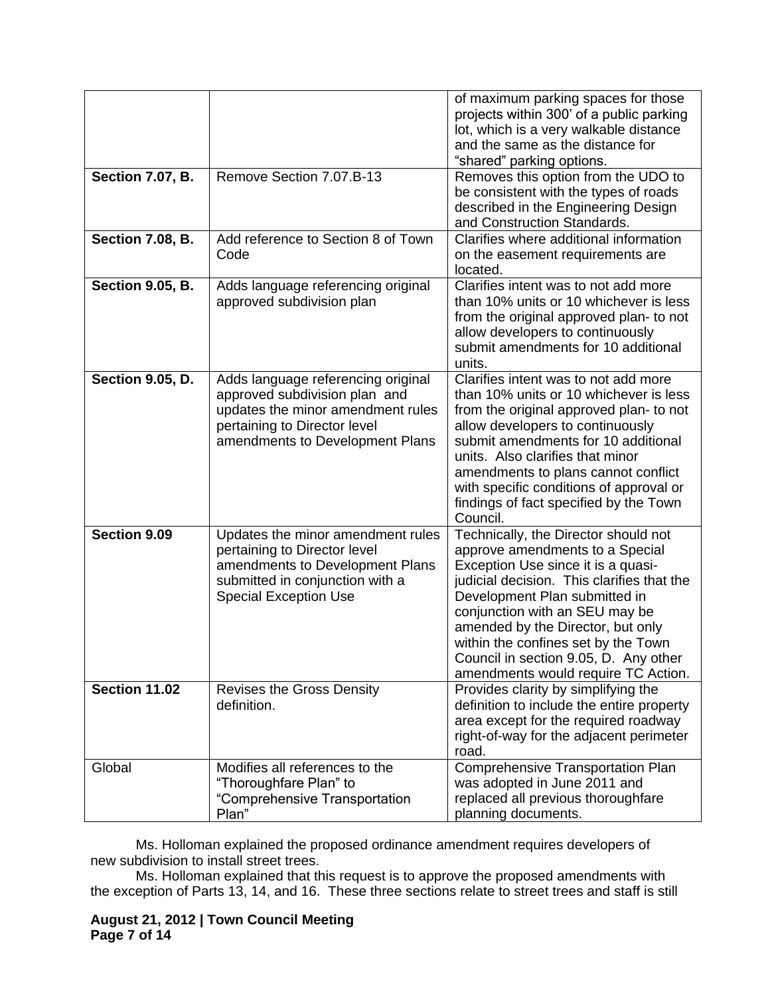| <b>Section 7.07, B.</b> | Remove Section 7.07.B-13                                                                                                                                                    | of maximum parking spaces for those<br>projects within 300' of a public parking<br>lot, which is a very walkable distance<br>and the same as the distance for<br>"shared" parking options.<br>Removes this option from the UDO to                                                                                                                                                          |
|-------------------------|-----------------------------------------------------------------------------------------------------------------------------------------------------------------------------|--------------------------------------------------------------------------------------------------------------------------------------------------------------------------------------------------------------------------------------------------------------------------------------------------------------------------------------------------------------------------------------------|
|                         |                                                                                                                                                                             | be consistent with the types of roads<br>described in the Engineering Design<br>and Construction Standards.                                                                                                                                                                                                                                                                                |
| <b>Section 7.08, B.</b> | Add reference to Section 8 of Town<br>Code                                                                                                                                  | Clarifies where additional information<br>on the easement requirements are<br>located.                                                                                                                                                                                                                                                                                                     |
| <b>Section 9.05, B.</b> | Adds language referencing original<br>approved subdivision plan                                                                                                             | Clarifies intent was to not add more<br>than 10% units or 10 whichever is less<br>from the original approved plan- to not<br>allow developers to continuously<br>submit amendments for 10 additional<br>units.                                                                                                                                                                             |
| <b>Section 9.05, D.</b> | Adds language referencing original<br>approved subdivision plan and<br>updates the minor amendment rules<br>pertaining to Director level<br>amendments to Development Plans | Clarifies intent was to not add more<br>than 10% units or 10 whichever is less<br>from the original approved plan- to not<br>allow developers to continuously<br>submit amendments for 10 additional<br>units. Also clarifies that minor<br>amendments to plans cannot conflict<br>with specific conditions of approval or<br>findings of fact specified by the Town<br>Council.           |
| Section 9.09            | Updates the minor amendment rules<br>pertaining to Director level<br>amendments to Development Plans<br>submitted in conjunction with a<br><b>Special Exception Use</b>     | Technically, the Director should not<br>approve amendments to a Special<br>Exception Use since it is a quasi-<br>judicial decision. This clarifies that the<br>Development Plan submitted in<br>conjunction with an SEU may be<br>amended by the Director, but only<br>within the confines set by the Town<br>Council in section 9.05, D. Any other<br>amendments would require TC Action. |
| <b>Section 11.02</b>    | <b>Revises the Gross Density</b><br>definition.                                                                                                                             | Provides clarity by simplifying the<br>definition to include the entire property<br>area except for the required roadway<br>right-of-way for the adjacent perimeter<br>road.                                                                                                                                                                                                               |
| Global                  | Modifies all references to the<br>"Thoroughfare Plan" to<br>"Comprehensive Transportation<br>Plan"                                                                          | <b>Comprehensive Transportation Plan</b><br>was adopted in June 2011 and<br>replaced all previous thoroughfare<br>planning documents.                                                                                                                                                                                                                                                      |

Ms. Holloman explained the proposed ordinance amendment requires developers of new subdivision to install street trees.

Ms. Holloman explained that this request is to approve the proposed amendments with the exception of Parts 13, 14, and 16. These three sections relate to street trees and staff is still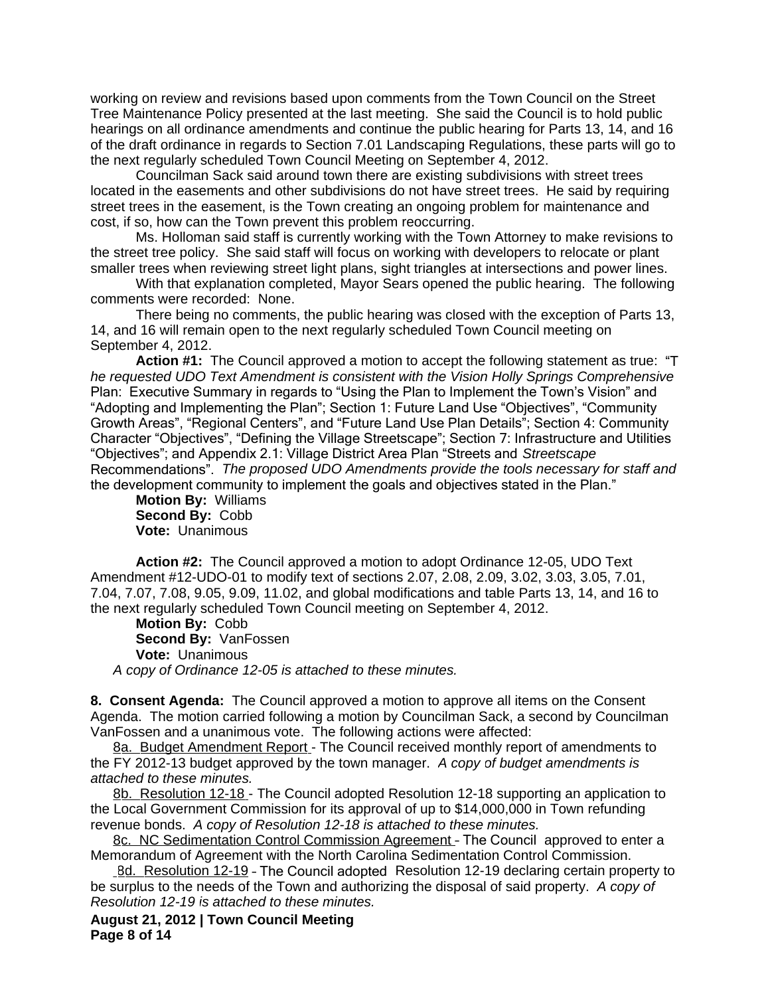working on review and revisions based upon comments from the Town Council on the Street Tree Maintenance Policy presented at the last meeting. She said the Council is to hold public hearings on all ordinance amendments and continue the public hearing for Parts 13, 14, and 16 of the draft ordinance in regards to Section 7.01 Landscaping Regulations, these parts will go to the next regularly scheduled Town Council Meeting on September 4, 2012.

Councilman Sack said around town there are existing subdivisions with street trees located in the easements and other subdivisions do not have street trees. He said by requiring street trees in the easement, is the Town creating an ongoing problem for maintenance and cost, if so, how can the Town prevent this problem reoccurring.

Ms. Holloman said staff is currently working with the Town Attorney to make revisions to the street tree policy. She said staff will focus on working with developers to relocate or plant smaller trees when reviewing street light plans, sight triangles at intersections and power lines.

With that explanation completed, Mayor Sears opened the public hearing. The following comments were recorded: None.

There being no comments, the public hearing was closed with the exception of Parts 13, 14, and 16 will remain open to the next regularly scheduled Town Council meeting on September 4, 2012.

**Action #1:** The Council approved a motion to accept the following statement as true: "T *he requested UDO Text Amendment is consistent with the Vision Holly Springs Comprehensive*  Plan: Executive Summary in regards to "Using the Plan to Implement the Town's Vision" and "Adopting and Implementing the Plan"; Section 1: Future Land Use "Objectives", "Community Growth Areas", "Regional Centers", and "Future Land Use Plan Details"; Section 4: Community Character "Objectives", "Defining the Village Streetscape"; Section 7: Infrastructure and Utilities "Objectives"; and Appendix 2.1: Village District Area Plan "Streets and *Streetscape*  Recommendations". *The proposed UDO Amendments provide the tools necessary for staff and*  the development community to implement the goals and objectives stated in the Plan."

**Motion By:** Williams **Second By:** Cobb **Vote:** Unanimous

**Action #2:** The Council approved a motion to adopt Ordinance 12-05, UDO Text Amendment #12-UDO-01 to modify text of sections 2.07, 2.08, 2.09, 3.02, 3.03, 3.05, 7.01, 7.04, 7.07, 7.08, 9.05, 9.09, 11.02, and global modifications and table Parts 13, 14, and 16 to the next regularly scheduled Town Council meeting on September 4, 2012.

**Motion By:** Cobb **Second By:** VanFossen **Vote:** Unanimous *A copy of Ordinance 12-05 is attached to these minutes.*

**8. Consent Agenda:** The Council approved a motion to approve all items on the Consent Agenda. The motion carried following a motion by Councilman Sack, a second by Councilman VanFossen and a unanimous vote. The following actions were affected:

8a. Budget Amendment Report - The Council received monthly report of amendments to the FY 2012-13 budget approved by the town manager. *A copy of budget amendments is attached to these minutes.*

8b. Resolution 12-18 - The Council adopted Resolution 12-18 supporting an application to the Local Government Commission for its approval of up to \$14,000,000 in Town refunding revenue bonds. *A copy of Resolution 12-18 is attached to these minutes.*

8c. NC Sedimentation Control Commission Agreement – The Council approved to enter a Memorandum of Agreement with the North Carolina Sedimentation Control Commission.

8d. Resolution 12-19 - The Council adopted Resolution 12-19 declaring certain property to be surplus to the needs of the Town and authorizing the disposal of said property. *A copy of Resolution 12-19 is attached to these minutes.*

**August 21, 2012 | Town Council Meeting Page 8 of 14**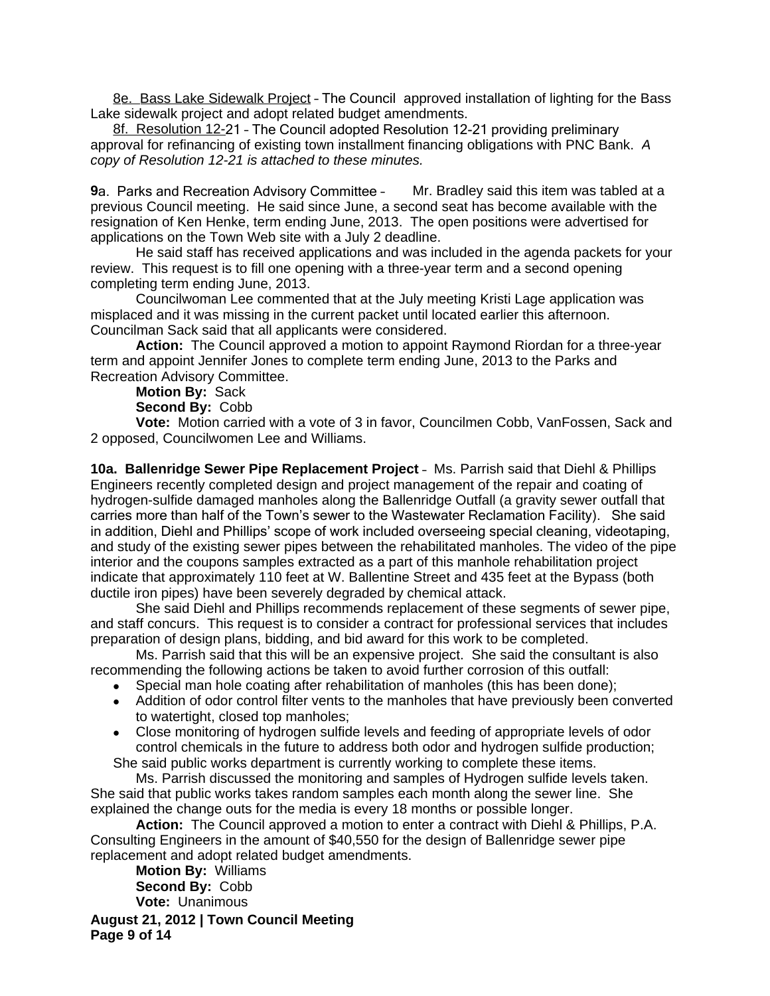8e. Bass Lake Sidewalk Project – The Council approved installation of lighting for the Bass Lake sidewalk project and adopt related budget amendments.

8f. Resolution 12-21 – The Council adopted Resolution 12-21 providing preliminary approval for refinancing of existing town installment financing obligations with PNC Bank. *A copy of Resolution 12-21 is attached to these minutes.*

**9**a. Parks and Recreation Advisory Committee - Mr. Bradley said this item was tabled at a previous Council meeting. He said since June, a second seat has become available with the resignation of Ken Henke, term ending June, 2013. The open positions were advertised for applications on the Town Web site with a July 2 deadline.

He said staff has received applications and was included in the agenda packets for your review. This request is to fill one opening with a three-year term and a second opening completing term ending June, 2013.

Councilwoman Lee commented that at the July meeting Kristi Lage application was misplaced and it was missing in the current packet until located earlier this afternoon. Councilman Sack said that all applicants were considered.

**Action:** The Council approved a motion to appoint Raymond Riordan for a three-year term and appoint Jennifer Jones to complete term ending June, 2013 to the Parks and Recreation Advisory Committee.

## **Motion By:** Sack

**Second By:** Cobb

**Vote:** Motion carried with a vote of 3 in favor, Councilmen Cobb, VanFossen, Sack and 2 opposed, Councilwomen Lee and Williams.

**10a. Ballenridge Sewer Pipe Replacement Project** – Ms. Parrish said that Diehl & Phillips Engineers recently completed design and project management of the repair and coating of hydrogen-sulfide damaged manholes along the Ballenridge Outfall (a gravity sewer outfall that carries more than half of the Town's sewer to the Wastewater Reclamation Facility). She said in addition, Diehl and Phillips' scope of work included overseeing special cleaning, videotaping, and study of the existing sewer pipes between the rehabilitated manholes. The video of the pipe interior and the coupons samples extracted as a part of this manhole rehabilitation project indicate that approximately 110 feet at W. Ballentine Street and 435 feet at the Bypass (both ductile iron pipes) have been severely degraded by chemical attack.

She said Diehl and Phillips recommends replacement of these segments of sewer pipe, and staff concurs. This request is to consider a contract for professional services that includes preparation of design plans, bidding, and bid award for this work to be completed.

Ms. Parrish said that this will be an expensive project. She said the consultant is also recommending the following actions be taken to avoid further corrosion of this outfall:

- Special man hole coating after rehabilitation of manholes (this has been done);
- Addition of odor control filter vents to the manholes that have previously been converted to watertight, closed top manholes;
- Close monitoring of hydrogen sulfide levels and feeding of appropriate levels of odor control chemicals in the future to address both odor and hydrogen sulfide production;

She said public works department is currently working to complete these items. Ms. Parrish discussed the monitoring and samples of Hydrogen sulfide levels taken.

She said that public works takes random samples each month along the sewer line. She explained the change outs for the media is every 18 months or possible longer.

**Action:** The Council approved a motion to enter a contract with Diehl & Phillips, P.A. Consulting Engineers in the amount of \$40,550 for the design of Ballenridge sewer pipe replacement and adopt related budget amendments.

**Motion By:** Williams **Second By:** Cobb **Vote:** Unanimous

**August 21, 2012 | Town Council Meeting Page 9 of 14**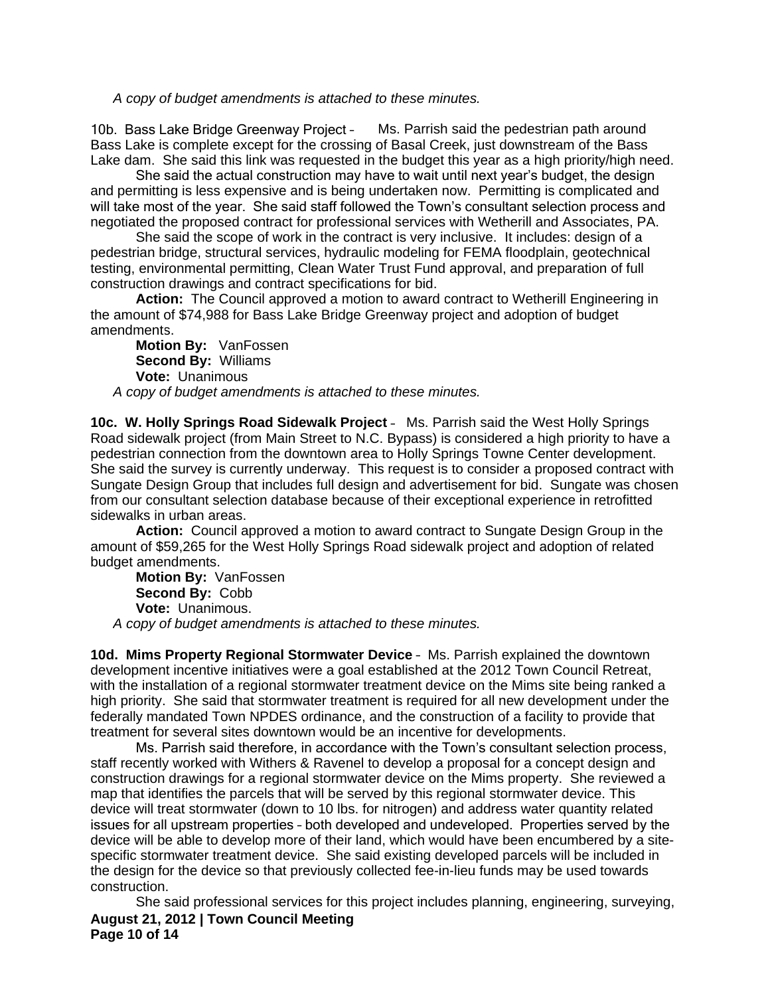*A copy of budget amendments is attached to these minutes.*

10b. Bass Lake Bridge Greenway Project – Ms. Parrish said the pedestrian path around Bass Lake is complete except for the crossing of Basal Creek, just downstream of the Bass Lake dam. She said this link was requested in the budget this year as a high priority/high need.

She said the actual construction may have to wait until next year's budget, the design and permitting is less expensive and is being undertaken now. Permitting is complicated and will take most of the year. She said staff followed the Town's consultant selection process and negotiated the proposed contract for professional services with Wetherill and Associates, PA.

She said the scope of work in the contract is very inclusive. It includes: design of a pedestrian bridge, structural services, hydraulic modeling for FEMA floodplain, geotechnical testing, environmental permitting, Clean Water Trust Fund approval, and preparation of full construction drawings and contract specifications for bid.

**Action:** The Council approved a motion to award contract to Wetherill Engineering in the amount of \$74,988 for Bass Lake Bridge Greenway project and adoption of budget amendments.

**Motion By:** VanFossen **Second By:** Williams **Vote:** Unanimous *A copy of budget amendments is attached to these minutes.*

**10c. W. Holly Springs Road Sidewalk Project** – Ms. Parrish said the West Holly Springs Road sidewalk project (from Main Street to N.C. Bypass) is considered a high priority to have a pedestrian connection from the downtown area to Holly Springs Towne Center development. She said the survey is currently underway. This request is to consider a proposed contract with Sungate Design Group that includes full design and advertisement for bid. Sungate was chosen from our consultant selection database because of their exceptional experience in retrofitted sidewalks in urban areas.

**Action:** Council approved a motion to award contract to Sungate Design Group in the amount of \$59,265 for the West Holly Springs Road sidewalk project and adoption of related budget amendments.

**Motion By:** VanFossen **Second By:** Cobb **Vote:** Unanimous. *A copy of budget amendments is attached to these minutes.*

**10d. Mims Property Regional Stormwater Device** – Ms. Parrish explained the downtown development incentive initiatives were a goal established at the 2012 Town Council Retreat, with the installation of a regional stormwater treatment device on the Mims site being ranked a high priority. She said that stormwater treatment is required for all new development under the federally mandated Town NPDES ordinance, and the construction of a facility to provide that treatment for several sites downtown would be an incentive for developments.

Ms. Parrish said therefore, in accordance with the Town's consultant selection process, staff recently worked with Withers & Ravenel to develop a proposal for a concept design and construction drawings for a regional stormwater device on the Mims property. She reviewed a map that identifies the parcels that will be served by this regional stormwater device. This device will treat stormwater (down to 10 lbs. for nitrogen) and address water quantity related issues for all upstream properties – both developed and undeveloped. Properties served by the device will be able to develop more of their land, which would have been encumbered by a sitespecific stormwater treatment device. She said existing developed parcels will be included in the design for the device so that previously collected fee-in-lieu funds may be used towards construction.

**August 21, 2012 | Town Council Meeting Page 10 of 14** She said professional services for this project includes planning, engineering, surveying,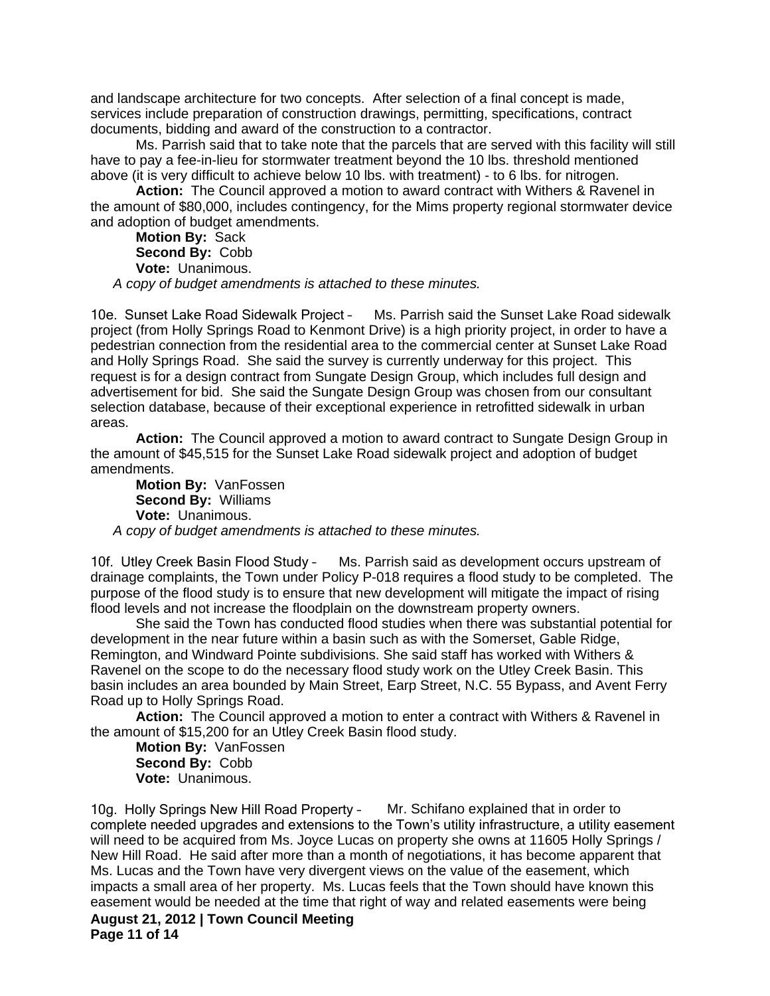and landscape architecture for two concepts. After selection of a final concept is made, services include preparation of construction drawings, permitting, specifications, contract documents, bidding and award of the construction to a contractor.

Ms. Parrish said that to take note that the parcels that are served with this facility will still have to pay a fee-in-lieu for stormwater treatment beyond the 10 lbs. threshold mentioned above (it is very difficult to achieve below 10 lbs. with treatment) - to 6 lbs. for nitrogen.

**Action:** The Council approved a motion to award contract with Withers & Ravenel in the amount of \$80,000, includes contingency, for the Mims property regional stormwater device and adoption of budget amendments.

**Motion By:** Sack **Second By:** Cobb **Vote:** Unanimous. *A copy of budget amendments is attached to these minutes.*

10e. Sunset Lake Road Sidewalk Project – Ms. Parrish said the Sunset Lake Road sidewalk project (from Holly Springs Road to Kenmont Drive) is a high priority project, in order to have a pedestrian connection from the residential area to the commercial center at Sunset Lake Road and Holly Springs Road. She said the survey is currently underway for this project. This request is for a design contract from Sungate Design Group, which includes full design and advertisement for bid. She said the Sungate Design Group was chosen from our consultant selection database, because of their exceptional experience in retrofitted sidewalk in urban areas.

**Action:** The Council approved a motion to award contract to Sungate Design Group in the amount of \$45,515 for the Sunset Lake Road sidewalk project and adoption of budget amendments.

**Motion By:** VanFossen **Second By:** Williams **Vote:** Unanimous. *A copy of budget amendments is attached to these minutes.*

10f. Utley Creek Basin Flood Study – Ms. Parrish said as development occurs upstream of drainage complaints, the Town under Policy P-018 requires a flood study to be completed. The purpose of the flood study is to ensure that new development will mitigate the impact of rising flood levels and not increase the floodplain on the downstream property owners.

She said the Town has conducted flood studies when there was substantial potential for development in the near future within a basin such as with the Somerset, Gable Ridge, Remington, and Windward Pointe subdivisions. She said staff has worked with Withers & Ravenel on the scope to do the necessary flood study work on the Utley Creek Basin. This basin includes an area bounded by Main Street, Earp Street, N.C. 55 Bypass, and Avent Ferry Road up to Holly Springs Road.

**Action:** The Council approved a motion to enter a contract with Withers & Ravenel in the amount of \$15,200 for an Utley Creek Basin flood study.

**Motion By:** VanFossen **Second By:** Cobb **Vote:** Unanimous.

**August 21, 2012 | Town Council Meeting Page 11 of 14** 10g. Holly Springs New Hill Road Property – Mr. Schifano explained that in order to complete needed upgrades and extensions to the Town's utility infrastructure, a utility easement will need to be acquired from Ms. Joyce Lucas on property she owns at 11605 Holly Springs / New Hill Road. He said after more than a month of negotiations, it has become apparent that Ms. Lucas and the Town have very divergent views on the value of the easement, which impacts a small area of her property. Ms. Lucas feels that the Town should have known this easement would be needed at the time that right of way and related easements were being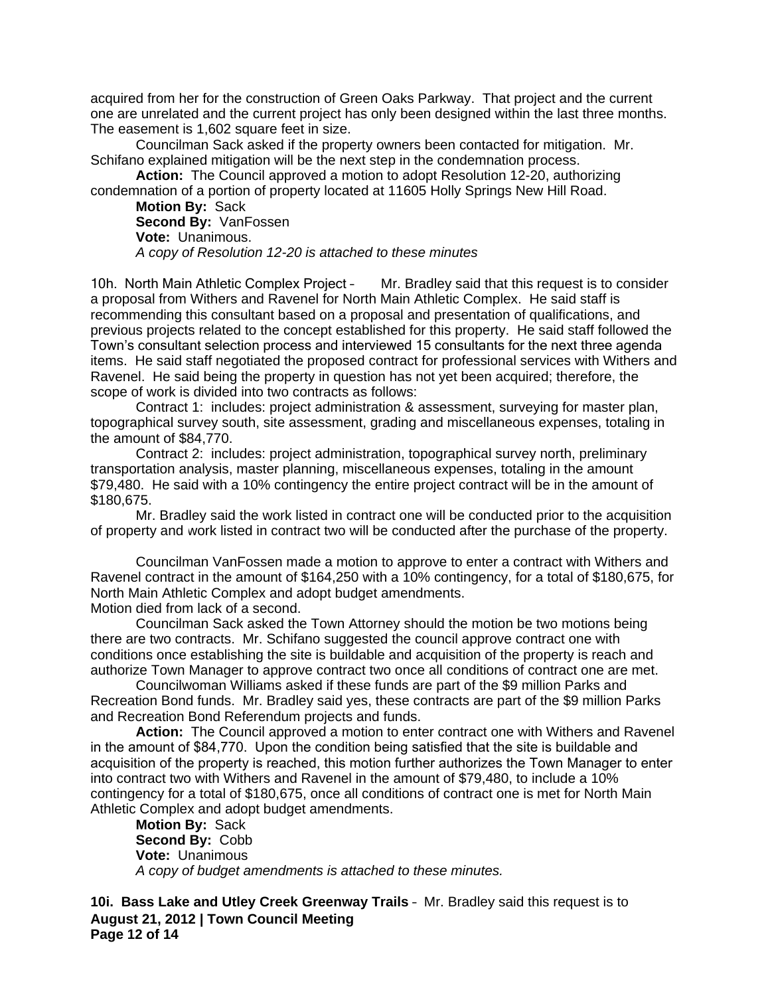acquired from her for the construction of Green Oaks Parkway. That project and the current one are unrelated and the current project has only been designed within the last three months. The easement is 1,602 square feet in size.

Councilman Sack asked if the property owners been contacted for mitigation. Mr. Schifano explained mitigation will be the next step in the condemnation process.

**Action:** The Council approved a motion to adopt Resolution 12-20, authorizing condemnation of a portion of property located at 11605 Holly Springs New Hill Road.

**Motion By:** Sack **Second By:** VanFossen **Vote:** Unanimous. *A copy of Resolution 12-20 is attached to these minutes*

10h. North Main Athletic Complex Project – Mr. Bradley said that this request is to consider a proposal from Withers and Ravenel for North Main Athletic Complex. He said staff is recommending this consultant based on a proposal and presentation of qualifications, and previous projects related to the concept established for this property. He said staff followed the Town's consultant selection process and interviewed 15 consultants for the next three agenda items. He said staff negotiated the proposed contract for professional services with Withers and Ravenel. He said being the property in question has not yet been acquired; therefore, the scope of work is divided into two contracts as follows:

Contract 1: includes: project administration & assessment, surveying for master plan, topographical survey south, site assessment, grading and miscellaneous expenses, totaling in the amount of \$84,770.

Contract 2: includes: project administration, topographical survey north, preliminary transportation analysis, master planning, miscellaneous expenses, totaling in the amount \$79,480. He said with a 10% contingency the entire project contract will be in the amount of \$180,675.

Mr. Bradley said the work listed in contract one will be conducted prior to the acquisition of property and work listed in contract two will be conducted after the purchase of the property.

Councilman VanFossen made a motion to approve to enter a contract with Withers and Ravenel contract in the amount of \$164,250 with a 10% contingency, for a total of \$180,675, for North Main Athletic Complex and adopt budget amendments. Motion died from lack of a second.

Councilman Sack asked the Town Attorney should the motion be two motions being there are two contracts. Mr. Schifano suggested the council approve contract one with conditions once establishing the site is buildable and acquisition of the property is reach and authorize Town Manager to approve contract two once all conditions of contract one are met.

Councilwoman Williams asked if these funds are part of the \$9 million Parks and Recreation Bond funds. Mr. Bradley said yes, these contracts are part of the \$9 million Parks and Recreation Bond Referendum projects and funds.

**Action:** The Council approved a motion to enter contract one with Withers and Ravenel in the amount of \$84,770. Upon the condition being satisfied that the site is buildable and acquisition of the property is reached, this motion further authorizes the Town Manager to enter into contract two with Withers and Ravenel in the amount of \$79,480, to include a 10% contingency for a total of \$180,675, once all conditions of contract one is met for North Main Athletic Complex and adopt budget amendments.

**Motion By:** Sack **Second By:** Cobb **Vote:** Unanimous *A copy of budget amendments is attached to these minutes.*

**August 21, 2012 | Town Council Meeting Page 12 of 14 10i. Bass Lake and Utley Creek Greenway Trails** – Mr. Bradley said this request is to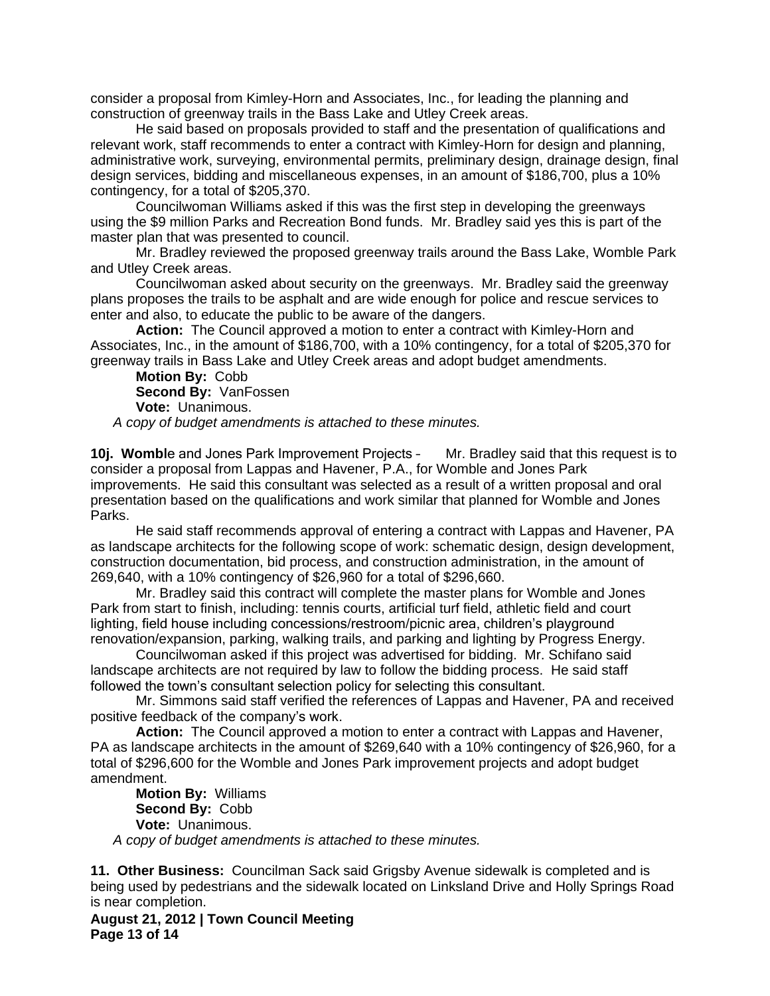consider a proposal from Kimley-Horn and Associates, Inc., for leading the planning and construction of greenway trails in the Bass Lake and Utley Creek areas.

He said based on proposals provided to staff and the presentation of qualifications and relevant work, staff recommends to enter a contract with Kimley-Horn for design and planning, administrative work, surveying, environmental permits, preliminary design, drainage design, final design services, bidding and miscellaneous expenses, in an amount of \$186,700, plus a 10% contingency, for a total of \$205,370.

Councilwoman Williams asked if this was the first step in developing the greenways using the \$9 million Parks and Recreation Bond funds. Mr. Bradley said yes this is part of the master plan that was presented to council.

Mr. Bradley reviewed the proposed greenway trails around the Bass Lake, Womble Park and Utley Creek areas.

Councilwoman asked about security on the greenways. Mr. Bradley said the greenway plans proposes the trails to be asphalt and are wide enough for police and rescue services to enter and also, to educate the public to be aware of the dangers.

**Action:** The Council approved a motion to enter a contract with Kimley-Horn and Associates, Inc., in the amount of \$186,700, with a 10% contingency, for a total of \$205,370 for greenway trails in Bass Lake and Utley Creek areas and adopt budget amendments.

**Motion By:** Cobb **Second By:** VanFossen **Vote:** Unanimous.

*A copy of budget amendments is attached to these minutes.*

**10j. Wombl**e and Jones Park Improvement Projects – Mr. Bradley said that this request is to consider a proposal from Lappas and Havener, P.A., for Womble and Jones Park improvements. He said this consultant was selected as a result of a written proposal and oral presentation based on the qualifications and work similar that planned for Womble and Jones Parks.

He said staff recommends approval of entering a contract with Lappas and Havener, PA as landscape architects for the following scope of work: schematic design, design development, construction documentation, bid process, and construction administration, in the amount of 269,640, with a 10% contingency of \$26,960 for a total of \$296,660.

Mr. Bradley said this contract will complete the master plans for Womble and Jones Park from start to finish, including: tennis courts, artificial turf field, athletic field and court lighting, field house including concessions/restroom/picnic area, children's playground renovation/expansion, parking, walking trails, and parking and lighting by Progress Energy.

Councilwoman asked if this project was advertised for bidding. Mr. Schifano said landscape architects are not required by law to follow the bidding process. He said staff followed the town's consultant selection policy for selecting this consultant.

Mr. Simmons said staff verified the references of Lappas and Havener, PA and received positive feedback of the company's work.

**Action:** The Council approved a motion to enter a contract with Lappas and Havener, PA as landscape architects in the amount of \$269,640 with a 10% contingency of \$26,960, for a total of \$296,600 for the Womble and Jones Park improvement projects and adopt budget amendment.

**Motion By:** Williams **Second By:** Cobb **Vote:** Unanimous. *A copy of budget amendments is attached to these minutes.*

**11. Other Business:** Councilman Sack said Grigsby Avenue sidewalk is completed and is being used by pedestrians and the sidewalk located on Linksland Drive and Holly Springs Road is near completion.

**August 21, 2012 | Town Council Meeting Page 13 of 14**